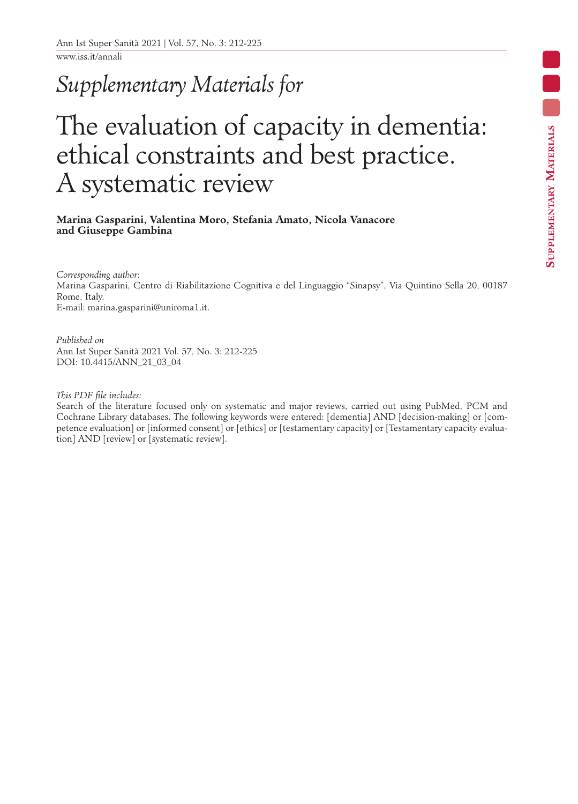www.iss.it/annali

## *Supplementary Materials for*

# The evaluation of capacity in dementia: ethical constraints and best practice. A systematic review

#### **Marina Gasparini, Valentina Moro, Stefania Amato, Nicola Vanacore and Giuseppe Gambina**

*Corresponding author*: Marina Gasparini, Centro di Riabilitazione Cognitiva e del Linguaggio "Sinapsy", Via Quintino Sella 20, 00187 Rome, Italy. E-mail: marina.gasparini@uniroma1.it.

### *Published on*

Ann Ist Super Sanità 2021 Vol. 57, No. 3: 212-225 DOI: 10.4415/ANN\_21\_03\_04

*This PDF file includes:*

Search of the literature focused only on systematic and major reviews, carried out using PubMed, PCM and Cochrane Library databases. The following keywords were entered: [dementia] AND [decision-making] or [competence evaluation] or [informed consent] or [ethics] or [testamentary capacity] or [Testamentary capacity evaluation] AND [review] or [systematic review].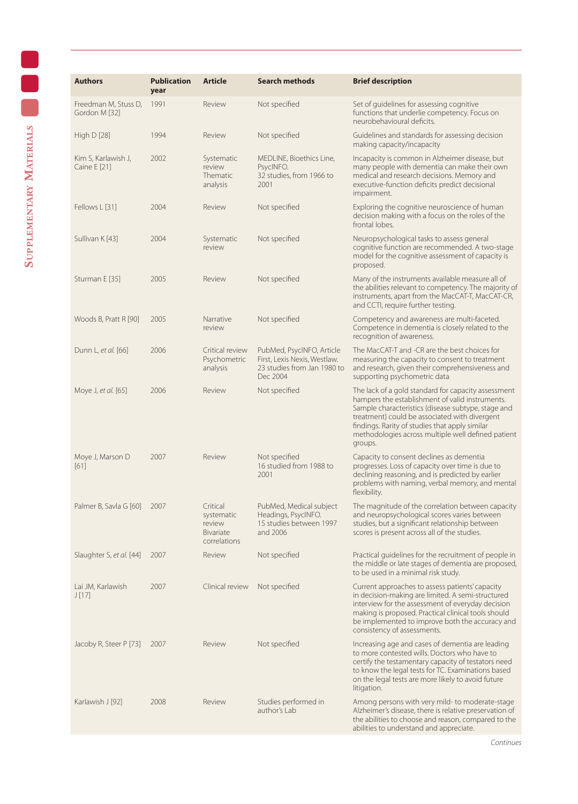| <b>Authors</b>                        | <b>Publication</b><br>year | <b>Article</b>                                                | <b>Search methods</b>                                                                                | <b>Brief description</b>                                                                                                                                                                                                                                                                                                         |
|---------------------------------------|----------------------------|---------------------------------------------------------------|------------------------------------------------------------------------------------------------------|----------------------------------------------------------------------------------------------------------------------------------------------------------------------------------------------------------------------------------------------------------------------------------------------------------------------------------|
| Freedman M, Stuss D,<br>Gordon M [32] | 1991                       | Review                                                        | Not specified                                                                                        | Set of quidelines for assessing cognitive<br>functions that underlie competency. Focus on<br>neurobehavioural deficits.                                                                                                                                                                                                          |
| High D [28]                           | 1994                       | Review                                                        | Not specified                                                                                        | Guidelines and standards for assessing decision<br>making capacity/incapacity                                                                                                                                                                                                                                                    |
| Kim S, Karlawish J,<br>Caine E [21]   | 2002                       | Systematic<br>review<br>Thematic<br>analysis                  | MEDLINE, Bioethics Line,<br>PsycINFO.<br>32 studies, from 1966 to<br>2001                            | Incapacity is common in Alzheimer disease, but<br>many people with dementia can make their own<br>medical and research decisions. Memory and<br>executive-function deficits predict decisional<br>impairment.                                                                                                                    |
| Fellows L [31]                        | 2004                       | Review                                                        | Not specified                                                                                        | Exploring the cognitive neuroscience of human<br>decision making with a focus on the roles of the<br>frontal lobes.                                                                                                                                                                                                              |
| Sullivan K [43]                       | 2004                       | Systematic<br>review                                          | Not specified                                                                                        | Neuropsychological tasks to assess general<br>cognitive function are recommended. A two-stage<br>model for the cognitive assessment of capacity is<br>proposed.                                                                                                                                                                  |
| Sturman E [35]                        | 2005                       | Review                                                        | Not specified                                                                                        | Many of the instruments available measure all of<br>the abilities relevant to competency. The majority of<br>instruments, apart from the MacCAT-T, MacCAT-CR,<br>and CCTI, require further testing.                                                                                                                              |
| Woods B, Pratt R [90]                 | 2005                       | Narrative<br>review                                           | Not specified                                                                                        | Competency and awareness are multi-faceted.<br>Competence in dementia is closely related to the<br>recognition of awareness.                                                                                                                                                                                                     |
| Dunn L, et al. [66]                   | 2006                       | Critical review<br>Psychometric<br>analysis                   | PubMed, PsycINFO, Article<br>First, Lexis Nexis, Westlaw.<br>23 studies from Jan 1980 to<br>Dec 2004 | The MacCAT-T and -CR are the best choices for<br>measuring the capacity to consent to treatment<br>and research, given their comprehensiveness and<br>supporting psychometric data                                                                                                                                               |
| Moye J, et al. [65]                   | 2006                       | Review                                                        | Not specified                                                                                        | The lack of a gold standard for capacity assessment<br>hampers the establishment of valid instruments.<br>Sample characteristics (disease subtype, stage and<br>treatment) could be associated with divergent<br>findings. Rarity of studies that apply similar<br>methodologies across multiple well defined patient<br>groups. |
| Moye J, Marson D<br>[61]              | 2007                       | Review                                                        | Not specified<br>16 studied from 1988 to<br>2001                                                     | Capacity to consent declines as dementia<br>progresses. Loss of capacity over time is due to<br>declining reasoning, and is predicted by earlier<br>problems with naming, verbal memory, and mental<br>flexibility.                                                                                                              |
| Palmer B, Savla G [60]                | 2007                       | Critical<br>systematic<br>review<br>Bivariate<br>correlations | PubMed, Medical subject<br>Headings, PsycINFO.<br>15 studies between 1997<br>and 2006                | The magnitude of the correlation between capacity<br>and neuropsychological scores varies between<br>studies, but a significant relationship between<br>scores is present across all of the studies.                                                                                                                             |
| Slaughter S, et al. [44]              | 2007                       | Review                                                        | Not specified                                                                                        | Practical guidelines for the recruitment of people in<br>the middle or late stages of dementia are proposed,<br>to be used in a minimal risk study.                                                                                                                                                                              |
| Lai JM, Karlawish<br>J[17]            | 2007                       | Clinical review                                               | Not specified                                                                                        | Current approaches to assess patients' capacity<br>in decision-making are limited. A semi-structured<br>interview for the assessment of everyday decision<br>making is proposed. Practical clinical tools should<br>be implemented to improve both the accuracy and<br>consistency of assessments.                               |
| Jacoby R, Steer P [73]                | 2007                       | Review                                                        | Not specified                                                                                        | Increasing age and cases of dementia are leading<br>to more contested wills. Doctors who have to<br>certify the testamentary capacity of testators need<br>to know the legal tests for TC. Examinations based<br>on the legal tests are more likely to avoid future<br>litigation.                                               |
| Karlawish J [92]                      | 2008                       | Review                                                        | Studies performed in<br>author's Lab                                                                 | Among persons with very mild- to moderate-stage<br>Alzheimer's disease, there is relative preservation of<br>the abilities to choose and reason, compared to the<br>abilities to understand and appreciate.                                                                                                                      |

*Continues*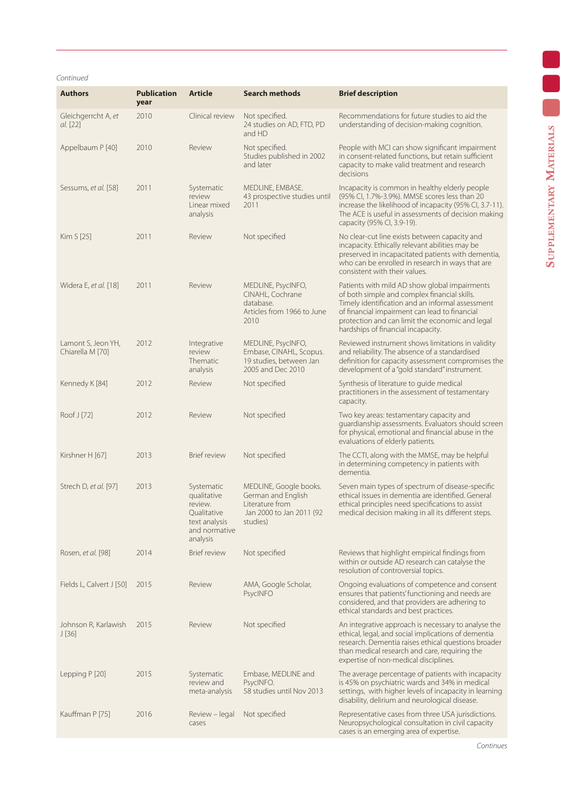#### *Continued*

| <b>Authors</b>                         | <b>Publication</b><br>year | <b>Article</b>                                                                                    | <b>Search methods</b>                                                                                   | <b>Brief description</b>                                                                                                                                                                                                                                                                    |
|----------------------------------------|----------------------------|---------------------------------------------------------------------------------------------------|---------------------------------------------------------------------------------------------------------|---------------------------------------------------------------------------------------------------------------------------------------------------------------------------------------------------------------------------------------------------------------------------------------------|
| Gleichgerrcht A, et<br>al. [22]        | 2010                       | Clinical review                                                                                   | Not specified.<br>24 studies on AD, FTD, PD<br>and HD                                                   | Recommendations for future studies to aid the<br>understanding of decision-making cognition.                                                                                                                                                                                                |
| Appelbaum P [40]                       | 2010                       | Review                                                                                            | Not specified.<br>Studies published in 2002<br>and later                                                | People with MCI can show significant impairment<br>in consent-related functions, but retain sufficient<br>capacity to make valid treatment and research<br>decisions                                                                                                                        |
| Sessums, et al. [58]                   | 2011                       | Systematic<br>review<br>Linear mixed<br>analysis                                                  | MEDLINE, EMBASE.<br>43 prospective studies until<br>2011                                                | Incapacity is common in healthy elderly people<br>(95% Cl, 1.7%-3.9%). MMSE scores less than 20<br>increase the likelihood of incapacity (95% CI, 3.7-11).<br>The ACE is useful in assessments of decision making<br>capacity (95% CI, 3.9-19).                                             |
| Kim S [25]                             | 2011                       | Review                                                                                            | Not specified                                                                                           | No clear-cut line exists between capacity and<br>incapacity. Ethically relevant abilities may be<br>preserved in incapacitated patients with dementia,<br>who can be enrolled in research in ways that are<br>consistent with their values.                                                 |
| Widera E, et al. [18]                  | 2011                       | Review                                                                                            | MEDLINE, PsycINFO,<br>CINAHL, Cochrane<br>database.<br>Articles from 1966 to June<br>2010               | Patients with mild AD show global impairments<br>of both simple and complex financial skills.<br>Timely identification and an informal assessment<br>of financial impairment can lead to financial<br>protection and can limit the economic and legal<br>hardships of financial incapacity. |
| Lamont S, Jeon YH,<br>Chiarella M [70] | 2012                       | Integrative<br>review<br>Thematic<br>analysis                                                     | MEDLINE, PsycINFO,<br>Embase, CINAHL, Scopus.<br>19 studies, between Jan<br>2005 and Dec 2010           | Reviewed instrument shows limitations in validity<br>and reliability. The absence of a standardised<br>definition for capacity assessment compromises the<br>development of a "gold standard" instrument.                                                                                   |
| Kennedy K [84]                         | 2012                       | Review                                                                                            | Not specified                                                                                           | Synthesis of literature to guide medical<br>practitioners in the assessment of testamentary<br>capacity.                                                                                                                                                                                    |
| Roof J [72]                            | 2012                       | Review                                                                                            | Not specified                                                                                           | Two key areas: testamentary capacity and<br>guardianship assessments. Evaluators should screen<br>for physical, emotional and financial abuse in the<br>evaluations of elderly patients.                                                                                                    |
| Kirshner H [67]                        | 2013                       | <b>Brief review</b>                                                                               | Not specified                                                                                           | The CCTI, along with the MMSE, may be helpful<br>in determining competency in patients with<br>dementia.                                                                                                                                                                                    |
| Strech D, et al. [97]                  | 2013                       | Systematic<br>qualitative<br>review.<br>Qualitative<br>text analysis<br>and normative<br>analysis | MEDLINE, Google books.<br>German and English<br>Literature from<br>Jan 2000 to Jan 2011 (92<br>studies) | Seven main types of spectrum of disease-specific<br>ethical issues in dementia are identified. General<br>ethical principles need specifications to assist<br>medical decision making in all its different steps.                                                                           |
| Rosen, et al. [98]                     | 2014                       | <b>Brief review</b>                                                                               | Not specified                                                                                           | Reviews that highlight empirical findings from<br>within or outside AD research can catalyse the<br>resolution of controversial topics.                                                                                                                                                     |
| Fields L, Calvert J [50]               | 2015                       | Review                                                                                            | AMA, Google Scholar,<br>PsycINFO                                                                        | Ongoing evaluations of competence and consent<br>ensures that patients' functioning and needs are<br>considered, and that providers are adhering to<br>ethical standards and best practices.                                                                                                |
| Johnson R, Karlawish<br>J[36]          | 2015                       | Review                                                                                            | Not specified                                                                                           | An integrative approach is necessary to analyse the<br>ethical, legal, and social implications of dementia<br>research. Dementia raises ethical questions broader<br>than medical research and care, requiring the<br>expertise of non-medical disciplines.                                 |
| Lepping P [20]                         | 2015                       | Systematic<br>review and<br>meta-analysis                                                         | Embase, MEDLINE and<br>PsycINFO.<br>58 studies until Nov 2013                                           | The average percentage of patients with incapacity<br>is 45% on psychiatric wards and 34% in medical<br>settings, with higher levels of incapacity in learning<br>disability, delirium and neurological disease.                                                                            |
| Kauffman P [75]                        | 2016                       | Review – legal<br>cases                                                                           | Not specified                                                                                           | Representative cases from three USA jurisdictions.<br>Neuropsychological consultation in civil capacity<br>cases is an emerging area of expertise.                                                                                                                                          |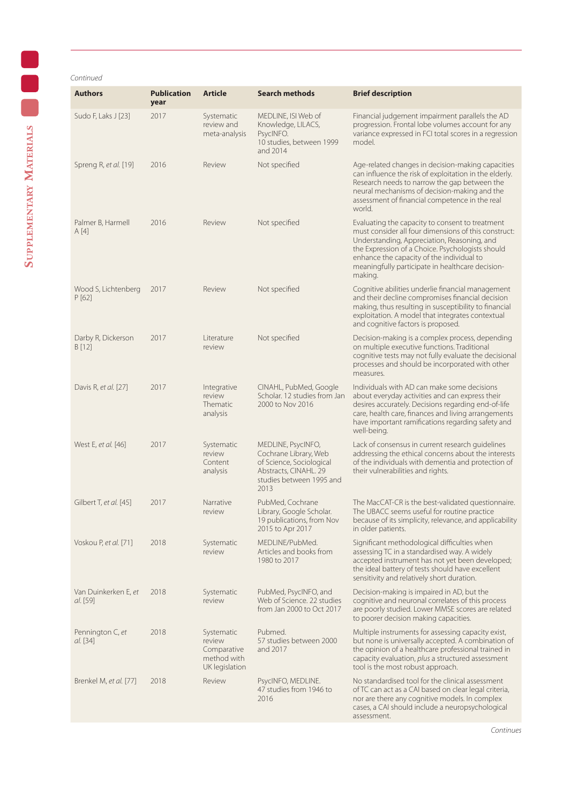*Continued*

| <b>Authors</b>                   | <b>Publication</b><br>year | <b>Article</b>                                                       | <b>Search methods</b>                                                                                                                | <b>Brief description</b>                                                                                                                                                                                                                                                                                               |
|----------------------------------|----------------------------|----------------------------------------------------------------------|--------------------------------------------------------------------------------------------------------------------------------------|------------------------------------------------------------------------------------------------------------------------------------------------------------------------------------------------------------------------------------------------------------------------------------------------------------------------|
| Sudo F, Laks J [23]              | 2017                       | Systematic<br>review and<br>meta-analysis                            | MEDLINE, ISI Web of<br>Knowledge, LILACS,<br>PsycINFO.<br>10 studies, between 1999<br>and 2014                                       | Financial judgement impairment parallels the AD<br>progression. Frontal lobe volumes account for any<br>variance expressed in FCI total scores in a regression<br>model.                                                                                                                                               |
| Spreng R, et al. [19]            | 2016                       | Review                                                               | Not specified                                                                                                                        | Age-related changes in decision-making capacities<br>can influence the risk of exploitation in the elderly.<br>Research needs to narrow the gap between the<br>neural mechanisms of decision-making and the<br>assessment of financial competence in the real<br>world.                                                |
| Palmer B, Harmell<br>A[4]        | 2016                       | Review                                                               | Not specified                                                                                                                        | Evaluating the capacity to consent to treatment<br>must consider all four dimensions of this construct:<br>Understanding, Appreciation, Reasoning, and<br>the Expression of a Choice. Psychologists should<br>enhance the capacity of the individual to<br>meaningfully participate in healthcare decision-<br>making. |
| Wood S, Lichtenberg<br>P[62]     | 2017                       | Review                                                               | Not specified                                                                                                                        | Cognitive abilities underlie financial management<br>and their decline compromises financial decision<br>making, thus resulting in susceptibility to financial<br>exploitation. A model that integrates contextual<br>and cognitive factors is proposed.                                                               |
| Darby R, Dickerson<br>B [12]     | 2017                       | Literature<br>review                                                 | Not specified                                                                                                                        | Decision-making is a complex process, depending<br>on multiple executive functions. Traditional<br>cognitive tests may not fully evaluate the decisional<br>processes and should be incorporated with other<br>measures.                                                                                               |
| Davis R, et al. [27]             | 2017                       | Integrative<br>review<br>Thematic<br>analysis                        | CINAHL, PubMed, Google<br>Scholar. 12 studies from Jan<br>2000 to Nov 2016                                                           | Individuals with AD can make some decisions<br>about everyday activities and can express their<br>desires accurately. Decisions regarding end-of-life<br>care, health care, finances and living arrangements<br>have important ramifications regarding safety and<br>well-being.                                       |
| West E, et al. [46]              | 2017                       | Systematic<br>review<br>Content<br>analysis                          | MEDLINE, PsycINFO,<br>Cochrane Library, Web<br>of Science, Sociological<br>Abstracts, CINAHL. 29<br>studies between 1995 and<br>2013 | Lack of consensus in current research quidelines<br>addressing the ethical concerns about the interests<br>of the individuals with dementia and protection of<br>their vulnerabilities and rights.                                                                                                                     |
| Gilbert T, et al. [45]           | 2017                       | Narrative<br>review                                                  | PubMed, Cochrane<br>Library, Google Scholar.<br>19 publications, from Nov<br>2015 to Apr 2017                                        | The MacCAT-CR is the best-validated questionnaire.<br>The UBACC seems useful for routine practice<br>because of its simplicity, relevance, and applicability<br>in older patients.                                                                                                                                     |
| Voskou P, et al. [71]            | 2018                       | Systematic<br>review                                                 | MEDLINE/PubMed.<br>Articles and books from<br>1980 to 2017                                                                           | Significant methodological difficulties when<br>assessing TC in a standardised way. A widely<br>accepted instrument has not yet been developed;<br>the ideal battery of tests should have excellent<br>sensitivity and relatively short duration.                                                                      |
| Van Duinkerken E, et<br>al. [59] | 2018                       | Systematic<br>review                                                 | PubMed, PsycINFO, and<br>Web of Science. 22 studies<br>from Jan 2000 to Oct 2017                                                     | Decision-making is impaired in AD, but the<br>cognitive and neuronal correlates of this process<br>are poorly studied. Lower MMSE scores are related<br>to poorer decision making capacities.                                                                                                                          |
| Pennington C, et<br>al. [34]     | 2018                       | Systematic<br>review<br>Comparative<br>method with<br>UK legislation | Pubmed.<br>57 studies between 2000<br>and 2017                                                                                       | Multiple instruments for assessing capacity exist,<br>but none is universally accepted. A combination of<br>the opinion of a healthcare professional trained in<br>capacity evaluation, plus a structured assessment<br>tool is the most robust approach.                                                              |
| Brenkel M, et al. [77]           | 2018                       | Review                                                               | PsycINFO, MEDLINE.<br>47 studies from 1946 to<br>2016                                                                                | No standardised tool for the clinical assessment<br>of TC can act as a CAI based on clear legal criteria,<br>nor are there any cognitive models. In complex<br>cases, a CAI should include a neuropsychological                                                                                                        |

*Continues*

assessment.